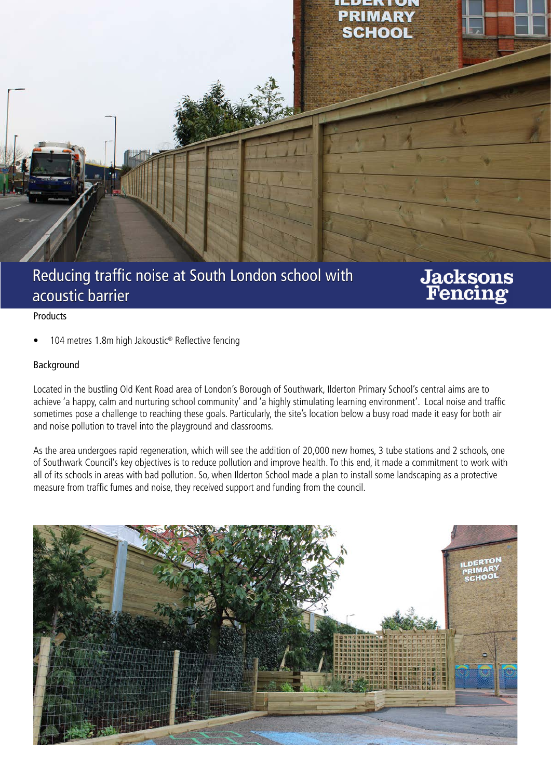

## Reducing traffic noise at South London school with acoustic barrier

# **Jacksons**<br>Fencing

#### Products

104 metres 1.8m high Jakoustic<sup>®</sup> Reflective fencing

#### Background

Located in the bustling Old Kent Road area of London's Borough of Southwark, Ilderton Primary School's central aims are to achieve 'a happy, calm and nurturing school community' and 'a highly stimulating learning environment'. Local noise and traffic sometimes pose a challenge to reaching these goals. Particularly, the site's location below a busy road made it easy for both air and noise pollution to travel into the playground and classrooms.

As the area undergoes rapid regeneration, which will see the addition of 20,000 new homes, 3 tube stations and 2 schools, one of Southwark Council's key objectives is to reduce pollution and improve health. To this end, it made a commitment to work with all of its schools in areas with bad pollution. So, when Ilderton School made a plan to install some landscaping as a protective measure from traffic fumes and noise, they received support and funding from the council.